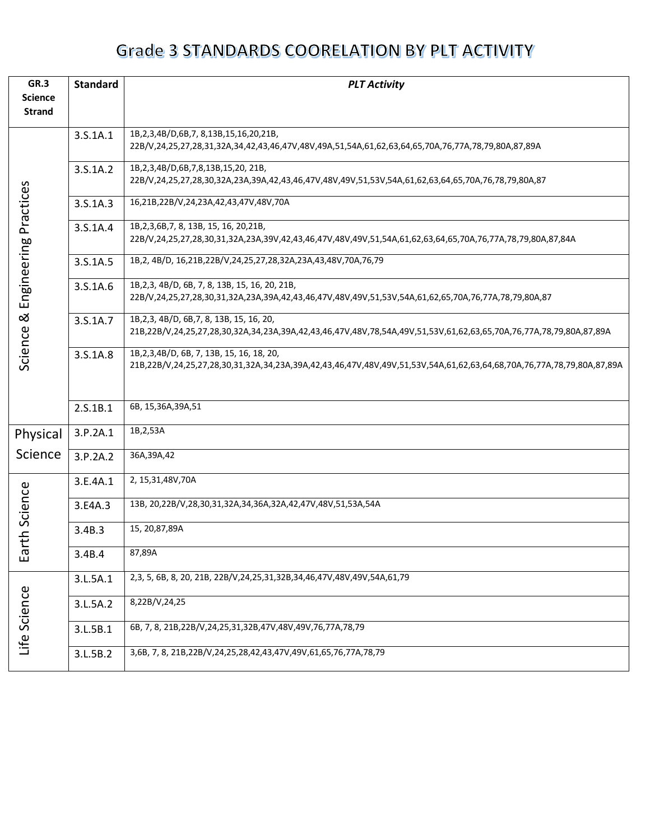| GR.3           | <b>Standard</b> | <b>PLT Activity</b>                                                                                                   |
|----------------|-----------------|-----------------------------------------------------------------------------------------------------------------------|
| <b>Science</b> |                 |                                                                                                                       |
| <b>Strand</b>  |                 |                                                                                                                       |
|                | 3.S.1A.1        | 1B,2,3,4B/D,6B,7, 8,13B,15,16,20,21B,                                                                                 |
|                |                 | 22B/V,24,25,27,28,31,32A,34,42,43,46,47V,48V,49A,51,54A,61,62,63,64,65,70A,76,77A,78,79,80A,87,89A                    |
|                | 3.S.1A.2        | 1B,2,3,4B/D,6B,7,8,13B,15,20, 21B,                                                                                    |
|                |                 | 22B/V,24,25,27,28,30,32A,23A,39A,42,43,46,47V,48V,49V,51,53V,54A,61,62,63,64,65,70A,76,78,79,80A,87                   |
| Practices      | 3.S.1A.3        | 16,21B,22B/V,24,23A,42,43,47V,48V,70A                                                                                 |
|                | 3.S.1A.4        | 1B, 2, 3, 6B, 7, 8, 13B, 15, 16, 20, 21B,                                                                             |
|                |                 | 22B/V,24,25,27,28,30,31,32A,23A,39V,42,43,46,47V,48V,49V,51,54A,61,62,63,64,65,70A,76,77A,78,79,80A,87,84A            |
| Engineering    | 3.S.1A.5        | 1B,2, 4B/D, 16,21B,22B/V,24,25,27,28,32A,23A,43,48V,70A,76,79                                                         |
|                | 3.S.1A.6        | 1B, 2, 3, 4B/D, 6B, 7, 8, 13B, 15, 16, 20, 21B,                                                                       |
|                |                 | 22B/V,24,25,27,28,30,31,32A,23A,39A,42,43,46,47V,48V,49V,51,53V,54A,61,62,65,70A,76,77A,78,79,80A,87                  |
| ಡ              | 3.S.1A.7        | 1B, 2, 3, 4B/D, 6B, 7, 8, 13B, 15, 16, 20,                                                                            |
| Science        |                 | 21B,22B/V,24,25,27,28,30,32A,34,23A,39A,42,43,46,47V,48V,78,54A,49V,51,53V,61,62,63,65,70A,76,77A,78,79,80A,87,89A    |
|                | 3.S.1A.8        | 1B, 2, 3, 4B/D, 6B, 7, 13B, 15, 16, 18, 20,                                                                           |
|                |                 | 21B,22B/V,24,25,27,28,30,31,32A,34,23A,39A,42,43,46,47V,48V,49V,51,53V,54A,61,62,63,64,68,70A,76,77A,78,79,80A,87,89A |
|                |                 |                                                                                                                       |
|                | 2.S.1B.1        | 6B, 15,36A,39A,51                                                                                                     |
| Physical       | 3.P.2A.1        | 1B, 2, 53A                                                                                                            |
| Science        | 3.P.2A.2        | 36A, 39A, 42                                                                                                          |
|                | 3.E.4A.1        | 2, 15, 31, 48 V, 70 A                                                                                                 |
| rth Science    | 3.E4A.3         | 13B, 20,22B/V,28,30,31,32A,34,36A,32A,42,47V,48V,51,53A,54A                                                           |
|                | 3.4B.3          | 15, 20,87,89A                                                                                                         |
| Еa             | 3.4B.4          | 87,89A                                                                                                                |
|                | 3.L.5A.1        | 2,3, 5, 6B, 8, 20, 21B, 22B/V, 24, 25, 31, 32B, 34, 46, 47V, 48V, 49V, 54A, 61, 79                                    |
| Life Science   | 3.L.5A.2        | 8,22B/V,24,25                                                                                                         |
|                | 3.L.5B.1        | 6B, 7, 8, 21B, 22B/V, 24, 25, 31, 32B, 47V, 48V, 49V, 76, 77A, 78, 79                                                 |
|                | 3.L.5B.2        | 3,6B, 7, 8, 21B, 22B/V, 24, 25, 28, 42, 43, 47V, 49V, 61, 65, 76, 77A, 78, 79                                         |
|                |                 |                                                                                                                       |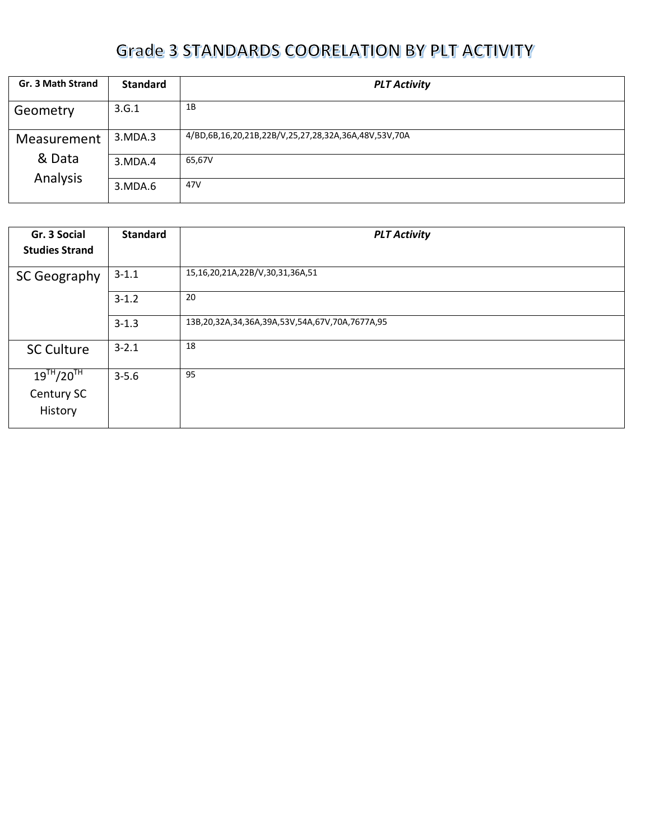| Gr. 3 Math Strand      | <b>Standard</b> | <b>PLT Activity</b>                                  |
|------------------------|-----------------|------------------------------------------------------|
| Geometry               | 3.G.1           | 1B                                                   |
| 3.MDA.3<br>Measurement |                 | 4/BD,6B,16,20,21B,22B/V,25,27,28,32A,36A,48V,53V,70A |
| & Data<br>3. MDA. 4    |                 | 65,67V                                               |
| Analysis               | 3.MDA.6         | 47V                                                  |

| Gr. 3 Social<br><b>Studies Strand</b>      | <b>Standard</b> | <b>PLT Activity</b>                            |
|--------------------------------------------|-----------------|------------------------------------------------|
| <b>SC Geography</b>                        | $3 - 1.1$       | 15,16,20,21A,22B/V,30,31,36A,51                |
|                                            | $3 - 1.2$       | 20                                             |
|                                            | $3 - 1.3$       | 13B,20,32A,34,36A,39A,53V,54A,67V,70A,7677A,95 |
| <b>SC Culture</b>                          | $3 - 2.1$       | 18                                             |
| $19^{TH}/20^{TH}$<br>Century SC<br>History | $3 - 5.6$       | 95                                             |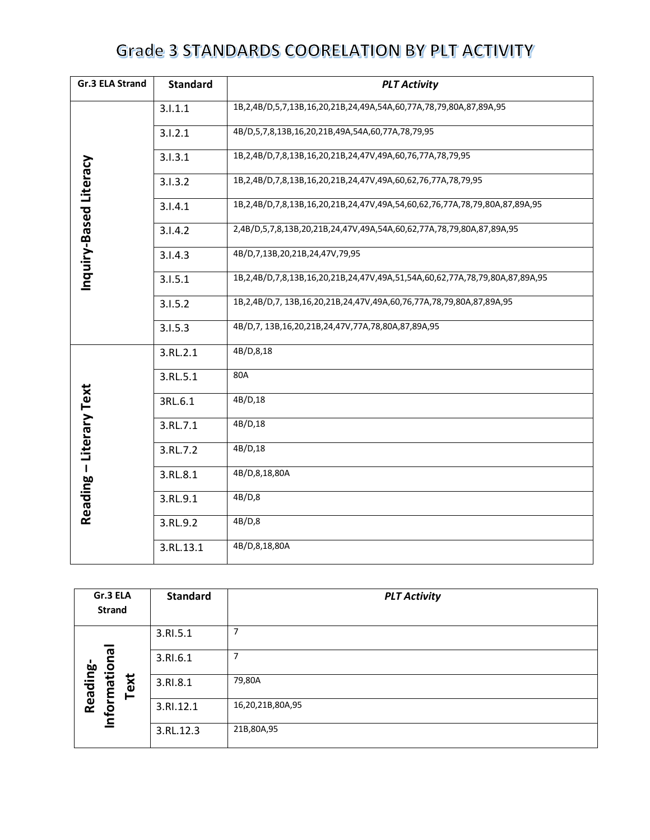| Gr.3 ELA Strand<br><b>Standard</b><br><b>PLT Activity</b> |           |                                                                             |
|-----------------------------------------------------------|-----------|-----------------------------------------------------------------------------|
|                                                           | 3.1.1.1   | 1B,2,4B/D,5,7,13B,16,20,21B,24,49A,54A,60,77A,78,79,80A,87,89A,95           |
|                                                           | 3.1.2.1   | 4B/D,5,7,8,13B,16,20,21B,49A,54A,60,77A,78,79,95                            |
|                                                           | 3.1.3.1   | 1B,2,4B/D,7,8,13B,16,20,21B,24,47V,49A,60,76,77A,78,79,95                   |
|                                                           | 3.1.3.2   | 1B,2,4B/D,7,8,13B,16,20,21B,24,47V,49A,60,62,76,77A,78,79,95                |
|                                                           | 3.1.4.1   | 1B,2,4B/D,7,8,13B,16,20,21B,24,47V,49A,54,60,62,76,77A,78,79,80A,87,89A,95  |
|                                                           | 3.1.4.2   | 2,4B/D,5,7,8,13B,20,21B,24,47V,49A,54A,60,62,77A,78,79,80A,87,89A,95        |
| Inquiry-Based Literacy                                    | 3.1.4.3   | 4B/D,7,13B,20,21B,24,47V,79,95                                              |
|                                                           | 3.1.5.1   | 1B,2,4B/D,7,8,13B,16,20,21B,24,47V,49A,51,54A,60,62,77A,78,79,80A,87,89A,95 |
|                                                           | 3.1.5.2   | 1B,2,4B/D,7, 13B,16,20,21B,24,47V,49A,60,76,77A,78,79,80A,87,89A,95         |
|                                                           | 3.1.5.3   | 4B/D,7, 13B,16,20,21B,24,47V,77A,78,80A,87,89A,95                           |
|                                                           | 3.RL.2.1  | 4B/D,8,18                                                                   |
|                                                           | 3.RL.5.1  | 80A                                                                         |
|                                                           | 3RL.6.1   | 4B/D,18                                                                     |
|                                                           | 3.RL.7.1  | 4B/D,18                                                                     |
|                                                           | 3.RL.7.2  | 4B/D,18                                                                     |
|                                                           | 3.RL.8.1  | 4B/D,8,18,80A                                                               |
| Reading - Literary Text                                   | 3.RL.9.1  | 4B/D,8                                                                      |
|                                                           | 3.RL.9.2  | 4B/D,8                                                                      |
|                                                           | 3.RL.13.1 | 4B/D,8,18,80A                                                               |

| Gr.3 ELA<br><b>Strand</b> |      | <b>Standard</b> | <b>PLT Activity</b> |
|---------------------------|------|-----------------|---------------------|
|                           |      | 3.RI.5.1        | 7                   |
| $\overline{\mathbf{C}}$   |      | 3.RI.6.1        | 7                   |
| Information<br>Reading-   | Text | 3.RI.8.1        | 79,80A              |
|                           |      | 3.RI.12.1       | 16,20,21B,80A,95    |
|                           |      | 3.RL.12.3       | 21B,80A,95          |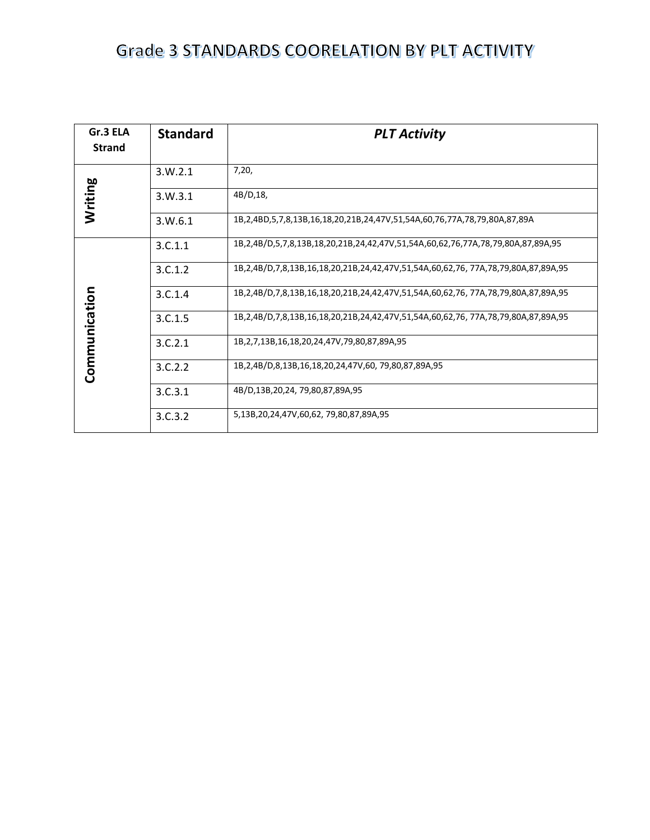| Gr.3 ELA<br><b>Strand</b> | <b>Standard</b> | <b>PLT Activity</b>                                                                            |
|---------------------------|-----------------|------------------------------------------------------------------------------------------------|
|                           | 3.W.2.1         | 7,20,                                                                                          |
| Writing                   | 3. W. 3.1       | 4B/D,18,                                                                                       |
|                           | 3. W.6.1        | 1B, 2, 4BD, 5, 7, 8, 13B, 16, 18, 20, 21B, 24, 47V, 51, 54A, 60, 76, 77A, 78, 79, 80A, 87, 89A |
|                           | 3.C.1.1         | 1B,2,4B/D,5,7,8,13B,18,20,21B,24,42,47V,51,54A,60,62,76,77A,78,79,80A,87,89A,95                |
|                           | 3.C.1.2         | 1B,2,4B/D,7,8,13B,16,18,20,21B,24,42,47V,51,54A,60,62,76, 77A,78,79,80A,87,89A,95              |
|                           | 3.C.1.4         | 1B,2,4B/D,7,8,13B,16,18,20,21B,24,42,47V,51,54A,60,62,76, 77A,78,79,80A,87,89A,95              |
| Communication             | 3.C.1.5         | 1B,2,4B/D,7,8,13B,16,18,20,21B,24,42,47V,51,54A,60,62,76, 77A,78,79,80A,87,89A,95              |
|                           | 3.C.2.1         | 1B, 2, 7, 13B, 16, 18, 20, 24, 47V, 79, 80, 87, 89A, 95                                        |
|                           | 3.C.2.2         | 1B, 2, 4B/D, 8, 13B, 16, 18, 20, 24, 47V, 60, 79, 80, 87, 89A, 95                              |
|                           | 3.C.3.1         | 4B/D,13B,20,24, 79,80,87,89A,95                                                                |
|                           | 3.C.3.2         | 5,13B,20,24,47V,60,62, 79,80,87,89A,95                                                         |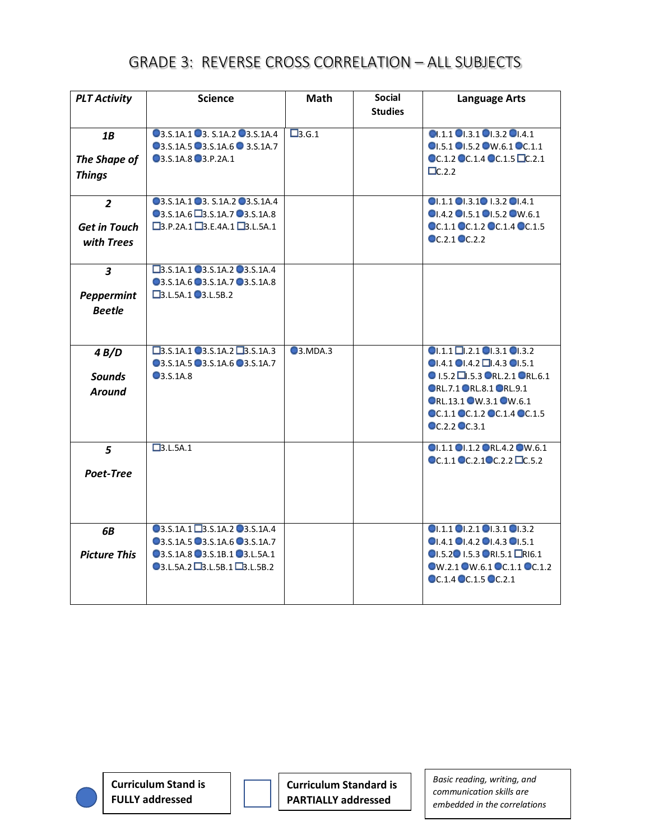| <b>PLT Activity</b>                                 | <b>Science</b>                                                                                                                                              | <b>Math</b>     | <b>Social</b>  | <b>Language Arts</b>                                                                                                                                                                                                                                        |
|-----------------------------------------------------|-------------------------------------------------------------------------------------------------------------------------------------------------------------|-----------------|----------------|-------------------------------------------------------------------------------------------------------------------------------------------------------------------------------------------------------------------------------------------------------------|
|                                                     |                                                                                                                                                             |                 | <b>Studies</b> |                                                                                                                                                                                                                                                             |
| 1B<br>The Shape of<br><b>Things</b>                 | 03.S.1A.1 03. S.1A.2 03.S.1A.4<br>03.S.1A.5 03.S.1A.6 0 3.S.1A.7<br>03.S.1A.8 03.P.2A.1                                                                     | $\square$ 3.G.1 |                | Q1.1.1 Q1.3.1 Q1.3.2 Q1.4.1<br>OI.5.1 OI.5.2 OW.6.1 OC.1.1<br>OC.1.2 OC.1.4 OC.1.5 OC.2.1<br>$\Box$ C.2.2                                                                                                                                                   |
| $\overline{2}$<br><b>Get in Touch</b><br>with Trees | 03.S.1A.1 03. S.1A.2 03.S.1A.4<br>03.S.1A.6 3.S.1A.7 03.S.1A.8<br>$\square$ 3.P.2A.1 $\square$ 3.E.4A.1 $\square$ 3.L.5A.1                                  |                 |                | $OL.1.1$ $OL.3.1$ $OL.3.2$ $OL.4.1$<br>OI.4.2 OI.5.1 OI.5.2 OW.6.1<br>OC.1.1 OC.1.2 OC.1.4 OC.1.5<br>$\odot$ C.2.1 $\odot$ C.2.2                                                                                                                            |
| 3<br><b>Peppermint</b><br><b>Beetle</b>             | □3.S.1A.1 ■3.S.1A.2 ■3.S.1A.4<br>03.S.1A.6 03.S.1A.7 03.S.1A.8<br>$\square$ 3.L.5A.1 $\square$ 3.L.5B.2                                                     |                 |                |                                                                                                                                                                                                                                                             |
| 4B/D<br><b>Sounds</b><br><b>Around</b>              | $\Box$ 3.S.1A.1 $\Box$ 3.S.1A.2 $\Box$ 3.S.1A.3<br>03.S.1A.5 03.S.1A.6 03.S.1A.7<br>$\bigcirc$ 3.S.1A.8                                                     | $Q$ 3.MDA.3     |                | $O1.1.1 \square$ .2.1 $O1.3.1 \square$ .3.2<br>$\bigcirc$ 1.4.1 $\bigcirc$ 1.4.2 $\Box$ 1.4.3 $\bigcirc$ 1.5.1<br><b>● I.5.2 □.5.3 ●RL.2.1 ●RL.6.1</b><br>ORL.7.1 ORL.8.1 ORL.9.1<br>ORL.13.1 OW.3.1 OW.6.1<br>OC.1.1 OC.1.2 OC.1.4 OC.1.5<br>OC.2.2 OC.3.1 |
| 5<br>Poet-Tree                                      | $\Box$ 3.L.5A.1                                                                                                                                             |                 |                | OI.1.1 OI.1.2 ORL.4.2 OW.6.1<br>$\odot$ C.1.1 $\odot$ C.2.1 $\odot$ C.2.2 $\Box$ C.5.2                                                                                                                                                                      |
| <b>6B</b><br><b>Picture This</b>                    | 03.S.1A.1 3.S.1A.2 03.S.1A.4<br>03.S.1A.5 03.S.1A.6 03.S.1A.7<br>03.S.1A.8 03.S.1B.1 03.L.5A.1<br>$\bigcirc$ 3.L.5A.2 $\square$ 3.L.5B.1 $\square$ 3.L.5B.2 |                 |                | $Q$ $1.1 Q$ $1.2.1 Q$ $1.3.1 Q$ $1.3.2 Q$<br>$Q$ 1.4.1 $Q$ 1.4.2 $Q$ 1.4.3 $Q$ 1.5.1<br>OI.5.2 0I.5.3 ORI.5.1 LRI6.1<br>OW.2.1 OW.6.1 OC.1.1 OC.1.2<br>$\odot$ C.1.4 $\odot$ C.1.5 $\odot$ C.2.1                                                            |

**Curriculum Stand is FULLY addressed**

**Curriculum Standard is PARTIALLY addressed**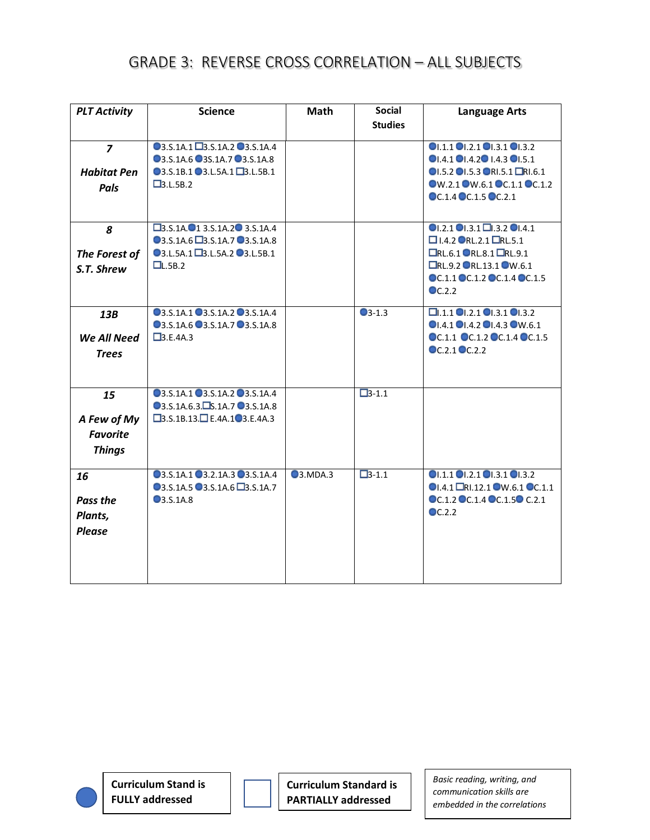| <b>PLT Activity</b>                  | <b>Science</b>                                                                                                                    | <b>Math</b>    | <b>Social</b><br><b>Studies</b> | <b>Language Arts</b>                                                                                                                                          |
|--------------------------------------|-----------------------------------------------------------------------------------------------------------------------------------|----------------|---------------------------------|---------------------------------------------------------------------------------------------------------------------------------------------------------------|
|                                      |                                                                                                                                   |                |                                 |                                                                                                                                                               |
| $\overline{z}$<br><b>Habitat Pen</b> | 03.S.1A.1 3.S.1A.2 03.S.1A.4<br>03.S.1A.6 03S.1A.7 03.S.1A.8<br>03.S.1B.1 03.L.5A.1 23.L.5B.1                                     |                |                                 | $Q$ <sub>1.1.1</sub> $Q$ <sub>1.2.1</sub> $Q$ <sub>1.3.1</sub> $Q$ <sub>1.3.2</sub><br>OI.4.1 OI.4.2 0I.4.3 OI.5.1<br>OI.5.2 OI.5.3 ORI.5.1 LRI.6.1           |
| Pals                                 | $\square$ 3.L.5B.2                                                                                                                |                |                                 | OW.2.1 OW.6.1 OC.1.1 OC.1.2<br>OC.1.4 OC.1.5 OC.2.1                                                                                                           |
| 8<br>The Forest of                   | $\square$ 3.S.1A. $\square$ 1 3.S.1A.2 $\square$ 3.S.1A.4<br>03.S.1A.6 3.S.1A.7 03.S.1A.8<br><b>●3.L.5A.1 ■3.L.5A.2 ●3.L.5B.1</b> |                |                                 | $\bullet$ 1.2.1 $\bullet$ 1.3.1 $\Box$ 1.3.2 $\bullet$ 1.4.1<br>□ I.4.2 ORL.2.1 □RL.5.1<br>□RL.6.1 ●RL.8.1 □RL.9.1                                            |
| S.T. Shrew                           | L.5B.2                                                                                                                            |                |                                 | □RL.9.2 ■RL.13.1 ■W.6.1<br>OC.1.1 OC.1.2 OC.1.4 OC.1.5<br>$\bullet$ C.2.2                                                                                     |
| 13B<br>We All Need                   | 03.S.1A.1 03.S.1A.2 03.S.1A.4<br>03.S.1A.6 03.S.1A.7 03.S.1A.8<br>$\Box$ 3.E.4A.3                                                 |                | $\bigcirc$ 3-1.3                | $\Box$ .1.1 $\Box$ .2.1 $\Box$ .3.1 $\Box$ .3.2<br>$Q$ <sub>1</sub> .4.1 $Q$ <sub>1</sub> .4.2 $Q$ <sub>1</sub> .4.3 $Q$ W.6.1<br>OC.1.1 OC.1.2 OC.1.4 OC.1.5 |
| <b>Trees</b>                         |                                                                                                                                   |                |                                 | $\odot$ C.2.1 $\odot$ C.2.2                                                                                                                                   |
| 15                                   | 03.S.1A.1 03.S.1A.2 03.S.1A.4<br>03.S.1A.6.3. S.1A.7 03.S.1A.8                                                                    |                | $\Box$ 3-1.1                    |                                                                                                                                                               |
| A Few of My<br><b>Favorite</b>       | $\square$ 3.S.1B.13. $\square$ E.4A.1 <sup>0</sup> 3.E.4A.3                                                                       |                |                                 |                                                                                                                                                               |
| <b>Things</b>                        |                                                                                                                                   |                |                                 |                                                                                                                                                               |
| 16                                   | 03.S.1A.1 03.2.1A.3 03.S.1A.4<br>03.S.1A.5 03.S.1A.6 D3.S.1A.7                                                                    | <b>3.MDA.3</b> | $\Box$ 3-1.1                    | 01.1.101.2.101.3.101.3.2<br>OI.4.1 ORI.12.1 OW.6.1 OC.1.1                                                                                                     |
| Pass the<br>Plants,<br><b>Please</b> | <b>3.S.1A.8</b>                                                                                                                   |                |                                 | OC.1.2 OC.1.4 OC.1.50 C.2.1<br>$\odot$ C.2.2                                                                                                                  |
|                                      |                                                                                                                                   |                |                                 |                                                                                                                                                               |

**Curriculum Stand is FULLY addressed**

**Curriculum Standard is PARTIALLY addressed**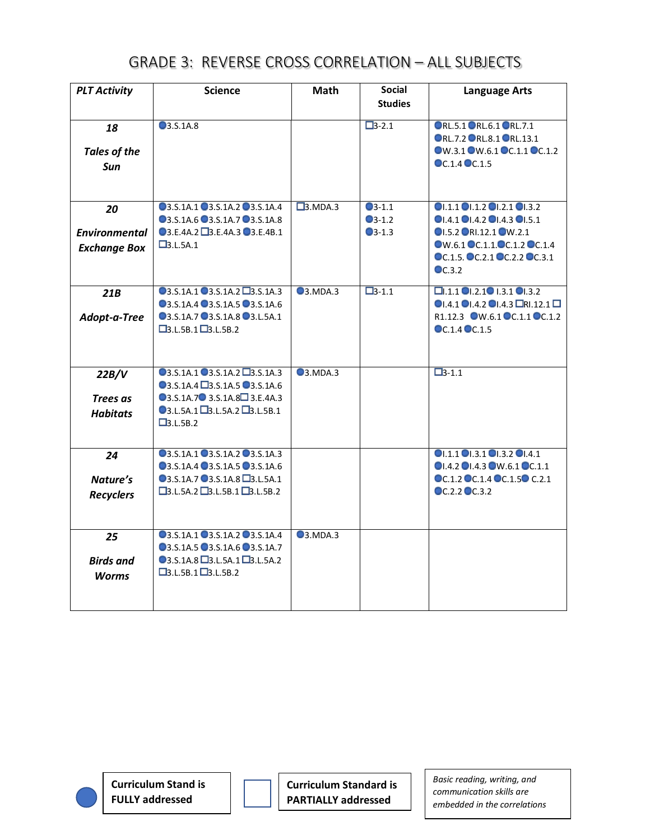| <b>PLT Activity</b>              | <b>Science</b>                                                          | <b>Math</b>          | <b>Social</b>                      | <b>Language Arts</b>                                                                                |
|----------------------------------|-------------------------------------------------------------------------|----------------------|------------------------------------|-----------------------------------------------------------------------------------------------------|
|                                  |                                                                         |                      | <b>Studies</b>                     |                                                                                                     |
| 18<br><b>Tales of the</b><br>Sun | <b>3.S.1A.8</b>                                                         |                      | $\Box 3 - 2.1$                     | ORL.5.1 ORL.6.1 ORL.7.1<br>ORL.7.2 ORL.8.1 ORL.13.1<br>OW.3.1 OW.6.1 OC.1.1 OC.1.2<br>OC.1.4 OC.1.5 |
|                                  |                                                                         |                      |                                    |                                                                                                     |
| 20                               | 03.S.1A.1 03.S.1A.2 03.S.1A.4<br>03.S.1A.6 03.S.1A.7 03.S.1A.8          | $\square$ 3.MDA.3    | $\bullet$ 3-1.1<br>$\bullet$ 3-1.2 | 01.1.101.1.201.2.101.3.2<br>$\bigcirc$ 1.4.1 $\bigcirc$ 1.4.2 $\bigcirc$ 1.4.3 $\bigcirc$ 1.5.1     |
| <b>Environmental</b>             | 03.E.4A.2 3.E.4A.3 03.E.4B.1                                            |                      | $\bullet$ 3-1.3                    | OI.5.2 ORI.12.1 OW.2.1                                                                              |
| <b>Exchange Box</b>              | $\Box$ 3.L.5A.1                                                         |                      |                                    | OW.6.1 OC.1.1.OC.1.2 OC.1.4<br>OC.1.5. OC.2.1 OC.2.2 OC.3.1<br>$\bullet$ C.3.2                      |
| 21B                              | $Q$ 3.S.1A.1 $Q$ 3.S.1A.2 $Q$ 3.S.1A.3<br>03.S.1A.4 03.S.1A.5 03.S.1A.6 | Q <sub>3.MDA.3</sub> | $\Box$ 3-1.1                       | $\Box$ .1.1 $\Box$ .2.1 $\Box$ 1.3.1 $\Box$ .3.2<br>$0.4.101.4.201.4.3$ ORI.12.1                    |
| Adopt-a-Tree                     | 03.S.1A.7 03.S.1A.8 03.L.5A.1<br>$\Box$ 3.L.5B.1 $\Box$ 3.L.5B.2        |                      |                                    | R1.12.3 OW.6.1 OC.1.1 OC.1.2<br>OC.1.4 OC.1.5                                                       |
|                                  |                                                                         |                      |                                    |                                                                                                     |
| 22B/V                            | 03.S.1A.1 03.S.1A.2 D3.S.1A.3                                           | Q3.MDA.3             |                                    | $\Box 3 - 1.1$                                                                                      |
|                                  | 03.S.1A.4 3.S.1A.5 03.S.1A.6<br>03.S.1A.7 3.S.1A.8 3.E.4A.3             |                      |                                    |                                                                                                     |
| Trees as                         | $\bigcirc$ 3.L.5A.1 $\square$ 3.L.5A.2 $\square$ 3.L.5B.1               |                      |                                    |                                                                                                     |
| <b>Habitats</b>                  | $\square$ 3.L.5B.2                                                      |                      |                                    |                                                                                                     |
| 24                               | 03.S.1A.1 03.S.1A.2 03.S.1A.3                                           |                      |                                    | OI.1.1 OI.3.1 OI.3.2 OI.4.1                                                                         |
|                                  | 03.S.1A.4 03.S.1A.5 03.S.1A.6                                           |                      |                                    | OI.4.2 OI.4.3 OW.6.1 OC.1.1                                                                         |
| Nature's                         | 03.S.1A.7 03.S.1A.8 D3.L.5A.1                                           |                      |                                    | OC.1.2 OC.1.4 OC.1.50 C.2.1                                                                         |
| <b>Recyclers</b>                 | $\square$ 3.L.5A.2 $\square$ 3.L.5B.1 $\square$ 3.L.5B.2                |                      |                                    | OC.2.2 OC.3.2                                                                                       |
|                                  |                                                                         |                      |                                    |                                                                                                     |
| 25                               | 03.S.1A.1 03.S.1A.2 03.S.1A.4<br>03.S.1A.5 03.S.1A.6 03.S.1A.7          | Q <sub>3.MDA.3</sub> |                                    |                                                                                                     |
| <b>Birds and</b>                 | $\bigcirc$ 3.S.1A.8 $\square$ 3.L.5A.1 $\square$ 3.L.5A.2               |                      |                                    |                                                                                                     |
| <b>Worms</b>                     | $\Box$ 3.L.5B.1 $\Box$ 3.L.5B.2                                         |                      |                                    |                                                                                                     |
|                                  |                                                                         |                      |                                    |                                                                                                     |

**Curriculum Stand is FULLY addressed**

**Curriculum Standard is PARTIALLY addressed**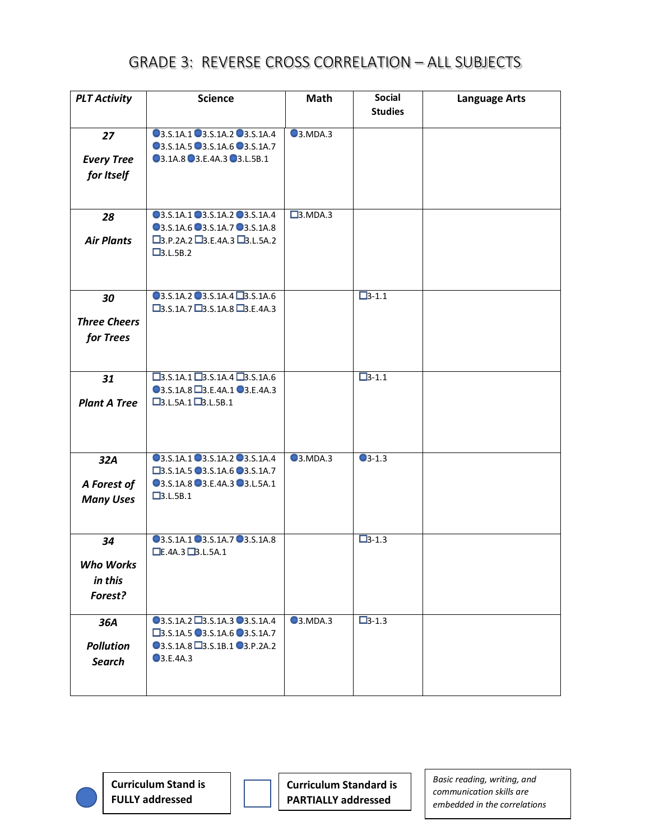| <b>PLT Activity</b> | <b>Science</b>                                           | <b>Math</b>       | <b>Social</b><br><b>Studies</b> | <b>Language Arts</b> |
|---------------------|----------------------------------------------------------|-------------------|---------------------------------|----------------------|
|                     |                                                          |                   |                                 |                      |
| 27                  | 03.S.1A.1 03.S.1A.2 03.S.1A.4                            | <b>3.MDA.3</b>    |                                 |                      |
|                     | 03.S.1A.5 03.S.1A.6 03.S.1A.7                            |                   |                                 |                      |
| <b>Every Tree</b>   | 03.1A.8 03.E.4A.3 03.L.5B.1                              |                   |                                 |                      |
| for Itself          |                                                          |                   |                                 |                      |
|                     |                                                          |                   |                                 |                      |
|                     |                                                          |                   |                                 |                      |
| 28                  | 03.S.1A.1 03.S.1A.2 03.S.1A.4                            | $\square$ 3.MDA.3 |                                 |                      |
|                     | 03.S.1A.6 03.S.1A.7 03.S.1A.8                            |                   |                                 |                      |
| <b>Air Plants</b>   | $\square$ 3.P.2A.2 $\square$ 3.E.4A.3 $\square$ 3.L.5A.2 |                   |                                 |                      |
|                     | $\square$ 3.L.5B.2                                       |                   |                                 |                      |
|                     |                                                          |                   |                                 |                      |
|                     |                                                          |                   |                                 |                      |
| 30                  | 03.S.1A.2 03.S.1A.4 23.S.1A.6                            |                   | $\Box$ 3-1.1                    |                      |
|                     | $\Box$ 3.S.1A.7 $\Box$ 3.S.1A.8 $\Box$ 3.E.4A.3          |                   |                                 |                      |
| <b>Three Cheers</b> |                                                          |                   |                                 |                      |
| for Trees           |                                                          |                   |                                 |                      |
|                     |                                                          |                   |                                 |                      |
|                     | $\Box$ 3.S.1A.1 $\Box$ 3.S.1A.4 $\Box$ 3.S.1A.6          |                   | $\Box$ 3-1.1                    |                      |
| 31                  | 03.S.1A.8 3.E.4A.1 03.E.4A.3                             |                   |                                 |                      |
| <b>Plant A Tree</b> | $\Box$ 3.L.5A.1 $\Box$ 3.L.5B.1                          |                   |                                 |                      |
|                     |                                                          |                   |                                 |                      |
|                     |                                                          |                   |                                 |                      |
|                     |                                                          |                   |                                 |                      |
| 32A                 | 03.S.1A.1 03.S.1A.2 03.S.1A.4                            | <b>3.MDA.3</b>    | $\bigcirc$ 3-1.3                |                      |
|                     | □3.S.1A.5 ■3.S.1A.6 ■3.S.1A.7                            |                   |                                 |                      |
| A Forest of         | 03.S.1A.8 03.E.4A.3 03.L.5A.1                            |                   |                                 |                      |
| <b>Many Uses</b>    | $\square$ 3.L.5B.1                                       |                   |                                 |                      |
|                     |                                                          |                   |                                 |                      |
|                     |                                                          |                   |                                 |                      |
| 34                  | 03.S.1A.1 03.S.1A.7 03.S.1A.8                            |                   | $\Box$ 3-1.3                    |                      |
|                     | E.AA.3B.L.5A.1                                           |                   |                                 |                      |
| <b>Who Works</b>    |                                                          |                   |                                 |                      |
| in this             |                                                          |                   |                                 |                      |
| Forest?             |                                                          |                   |                                 |                      |
|                     |                                                          |                   |                                 |                      |
| 36A                 | 03.S.1A.2 3.S.1A.3 03.S.1A.4                             | <b>3.MDA.3</b>    | $\Box$ 3-1.3                    |                      |
|                     | $\square$ 3.S.1A.5 $\square$ 3.S.1A.6 $\square$ 3.S.1A.7 |                   |                                 |                      |
| <b>Pollution</b>    | 03.S.1A.8 3.S.1B.1 03.P.2A.2<br>3.E.4A.3                 |                   |                                 |                      |
| <b>Search</b>       |                                                          |                   |                                 |                      |
|                     |                                                          |                   |                                 |                      |
|                     |                                                          |                   |                                 |                      |

**Curriculum Stand is FULLY addressed**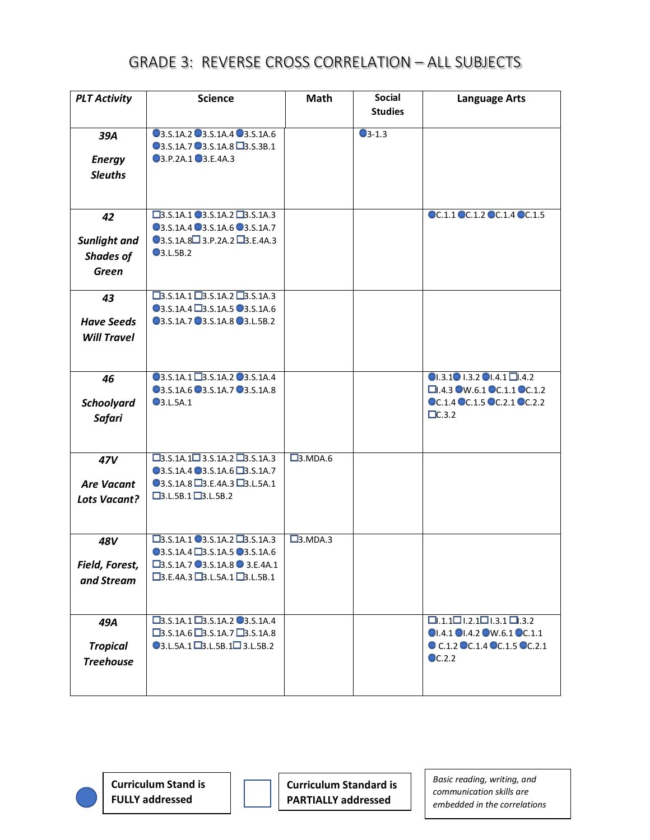| <b>PLT Activity</b> | <b>Science</b>                                                                               | <b>Math</b>         | <b>Social</b>   | <b>Language Arts</b>                                                |
|---------------------|----------------------------------------------------------------------------------------------|---------------------|-----------------|---------------------------------------------------------------------|
|                     |                                                                                              |                     | <b>Studies</b>  |                                                                     |
| 39A                 | 03.S.1A.2 03.S.1A.4 03.S.1A.6                                                                |                     | $\bullet$ 3-1.3 |                                                                     |
|                     | 03.S.1A.7 3.S.1A.8 3.S.3B.1                                                                  |                     |                 |                                                                     |
| <b>Energy</b>       | 03.P.2A.1 03.E.4A.3                                                                          |                     |                 |                                                                     |
| <b>Sleuths</b>      |                                                                                              |                     |                 |                                                                     |
|                     |                                                                                              |                     |                 |                                                                     |
|                     |                                                                                              |                     |                 |                                                                     |
| 42                  | $\Box$ 3.S.1A.1 $\Box$ 3.S.1A.2 $\Box$ 3.S.1A.3<br>03.S.1A.4 03.S.1A.6 03.S.1A.7             |                     |                 | OC.1.1 OC.1.2 OC.1.4 OC.1.5                                         |
|                     | $\bigcirc$ 3.S.1A.8 $\bigcirc$ 3.P.2A.2 $\bigcirc$ B.E.4A.3                                  |                     |                 |                                                                     |
| Sunlight and        | $\bigcirc$ 3.L.5B.2                                                                          |                     |                 |                                                                     |
| <b>Shades of</b>    |                                                                                              |                     |                 |                                                                     |
| <b>Green</b>        |                                                                                              |                     |                 |                                                                     |
|                     | $\Box$ 3.S.1A.1 $\Box$ 3.S.1A.2 $\Box$ 3.S.1A.3                                              |                     |                 |                                                                     |
| 43                  | 03.S.1A.4 3.S.1A.5 03.S.1A.6                                                                 |                     |                 |                                                                     |
| <b>Have Seeds</b>   | 03.S.1A.7 03.S.1A.8 03.L.5B.2                                                                |                     |                 |                                                                     |
| <b>Will Travel</b>  |                                                                                              |                     |                 |                                                                     |
|                     |                                                                                              |                     |                 |                                                                     |
|                     |                                                                                              |                     |                 |                                                                     |
| 46                  | 03.S.1A.1 3.S.1A.2 03.S.1A.4                                                                 |                     |                 | $\bigcirc$ 1.3.1 $\bigcirc$ 1.3.2 $\bigcirc$ 1.4.1 $\bigcirc$ 1.4.2 |
|                     | 03.S.1A.6 03.S.1A.7 03.S.1A.8                                                                |                     |                 | $\Box$ .4.3 W.6.1 OC.1.1 OC.1.2                                     |
| <b>Schoolyard</b>   | <b>3.L.5A.1</b>                                                                              |                     |                 | OC.1.4 OC.1.5 OC.2.1 OC.2.2                                         |
| <b>Safari</b>       |                                                                                              |                     |                 | $\Box$ C.3.2                                                        |
|                     |                                                                                              |                     |                 |                                                                     |
|                     |                                                                                              |                     |                 |                                                                     |
| 47V                 | $\Box$ 3.S.1A.1 $\Box$ 3.S.1A.2 $\Box$ 3.S.1A.3                                              | $\square$ 3. MDA.6  |                 |                                                                     |
|                     | 03.S.1A.4 03.S.1A.6 03.S.1A.7                                                                |                     |                 |                                                                     |
| <b>Are Vacant</b>   | $\bigcirc$ 3.S.1A.8 $\square$ 3.E.4A.3 $\square$ 3.L.5A.1<br>$\Box$ 3.L.5B.1 $\Box$ 3.L.5B.2 |                     |                 |                                                                     |
| <b>Lots Vacant?</b> |                                                                                              |                     |                 |                                                                     |
|                     |                                                                                              |                     |                 |                                                                     |
| 48V                 | $\Box$ 3.S.1A.1 $\Box$ 3.S.1A.2 $\Box$ 3.S.1A.3                                              | $\square$ 3. MDA. 3 |                 |                                                                     |
|                     | 03.S.1A.4 3.S.1A.5 03.S.1A.6                                                                 |                     |                 |                                                                     |
| Field, Forest,      | □3.S.1A.7 ■3.S.1A.8 ■ 3.E.4A.1                                                               |                     |                 |                                                                     |
| and Stream          | $\Box$ 3.E.4A.3 $\Box$ 3.L.5A.1 $\Box$ 3.L.5B.1                                              |                     |                 |                                                                     |
|                     |                                                                                              |                     |                 |                                                                     |
|                     |                                                                                              |                     |                 |                                                                     |
| 49A                 | $\Box$ 3.S.1A.1 $\Box$ 3.S.1A.2 $\Box$ 3.S.1A.4                                              |                     |                 | $\Box$ .1.1 $\Box$ l.2.1 $\Box$ l.3.1 $\Box$ .3.2                   |
|                     | $\Box$ 3.S.1A.6 $\Box$ 3.S.1A.7 $\Box$ 3.S.1A.8                                              |                     |                 | OI.4.1 OI.4.2 OW.6.1 OC.1.1                                         |
| <b>Tropical</b>     | $\bigcirc$ 3.L.5A.1 $\square$ 3.L.5B.1 $\square$ 3.L.5B.2                                    |                     |                 | O C.1.2 OC.1.4 OC.1.5 OC.2.1                                        |
| <b>Treehouse</b>    |                                                                                              |                     |                 | $\odot$ C.2.2                                                       |
|                     |                                                                                              |                     |                 |                                                                     |
|                     |                                                                                              |                     |                 |                                                                     |

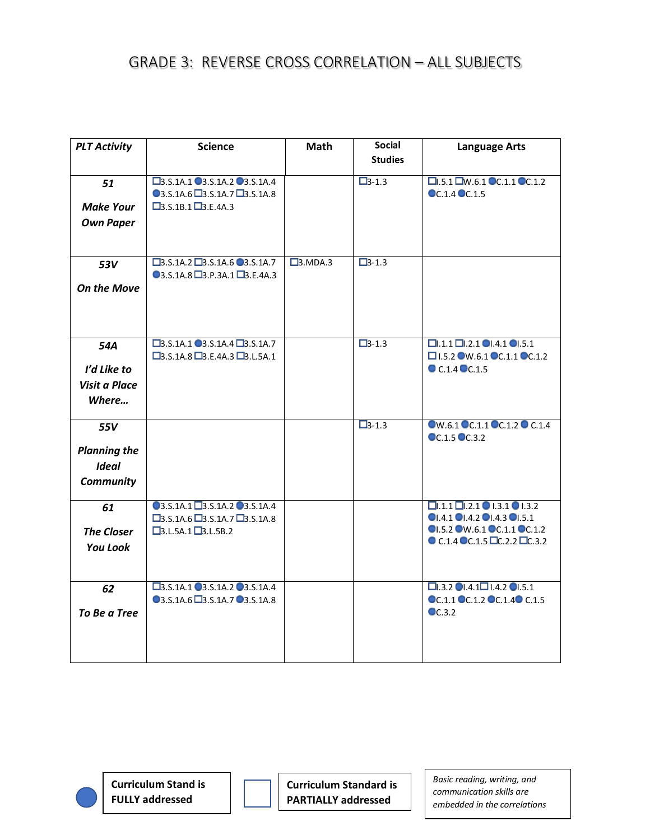| <b>PLT Activity</b> | <b>Science</b>                                                                                                       | Math                | <b>Social</b>  | <b>Language Arts</b>                                                                   |
|---------------------|----------------------------------------------------------------------------------------------------------------------|---------------------|----------------|----------------------------------------------------------------------------------------|
|                     |                                                                                                                      |                     | <b>Studies</b> |                                                                                        |
| 51                  | □3.S.1A.1 ■3.S.1A.2 ■3.S.1A.4                                                                                        |                     | $\Box 3 - 1.3$ | $\Box$ .5.1 $\Box$ W.6.1 $\degree$ C.1.1 $\degree$ C.1.2                               |
|                     | $\bullet$ 3.S.1A.6 $\Box$ 3.S.1A.7 $\Box$ 3.S.1A.8                                                                   |                     |                | OC.1.4 OC.1.5                                                                          |
| <b>Make Your</b>    | $\Box$ 3.S.1B.1 $\Box$ 3.E.4A.3                                                                                      |                     |                |                                                                                        |
| <b>Own Paper</b>    |                                                                                                                      |                     |                |                                                                                        |
|                     |                                                                                                                      |                     |                |                                                                                        |
|                     |                                                                                                                      |                     |                |                                                                                        |
| 53V                 | $\Box$ 3.S.1A.2 $\Box$ 3.S.1A.6 $\bigcirc$ 3.S.1A.7                                                                  | $\square$ 3. MDA. 3 | $\Box$ 3-1.3   |                                                                                        |
|                     | $\textcircled{3.5.1A.8} \square$ 3.P.3A.1 $\square$ 3.E.4A.3                                                         |                     |                |                                                                                        |
| <b>On the Move</b>  |                                                                                                                      |                     |                |                                                                                        |
|                     |                                                                                                                      |                     |                |                                                                                        |
|                     |                                                                                                                      |                     |                |                                                                                        |
|                     |                                                                                                                      |                     |                |                                                                                        |
| 54A                 | $\square$ 3.S.1A.1 $\square$ 3.S.1A.4 $\square$ 3.S.1A.7<br>$\square$ 3.S.1A.8 $\square$ 3.E.4A.3 $\square$ 3.L.5A.1 |                     | $\Box$ 3-1.3   | $\Box$ .1.1 $\Box$ .2.1 $\Box$ .4.1 $\Box$ .5.1<br>$\square$ 1.5.2 W.6.1 CC.1.1 CC.1.2 |
| I'd Like to         |                                                                                                                      |                     |                | C.1.4 C.1.5                                                                            |
|                     |                                                                                                                      |                     |                |                                                                                        |
| Visit a Place       |                                                                                                                      |                     |                |                                                                                        |
| Where               |                                                                                                                      |                     |                |                                                                                        |
|                     |                                                                                                                      |                     | $\Box$ 3-1.3   | OW.6.1 OC.1.1 OC.1.2 O C.1.4                                                           |
| 55V                 |                                                                                                                      |                     |                | OC.1.5 OC.3.2                                                                          |
| <b>Planning the</b> |                                                                                                                      |                     |                |                                                                                        |
| <b>Ideal</b>        |                                                                                                                      |                     |                |                                                                                        |
| <b>Community</b>    |                                                                                                                      |                     |                |                                                                                        |
|                     |                                                                                                                      |                     |                |                                                                                        |
| 61                  | 03.S.1A.1 3.S.1A.2 03.S.1A.4                                                                                         |                     |                | $\Box$ .1.1 $\Box$ .2.1   1.3.1   1.3.2                                                |
|                     | $\square$ 3.S.1A.6 $\square$ 3.S.1A.7 $\square$ 3.S.1A.8                                                             |                     |                | $\bullet$ I.4.1 $\bullet$ I.4.2 $\bullet$ I.4.3 $\bullet$ I.5.1                        |
| <b>The Closer</b>   | $\Box$ 3.L.5A.1 $\Box$ 3.L.5B.2                                                                                      |                     |                | OI.5.2 OW.6.1 OC.1.1 OC.1.2                                                            |
| <b>You Look</b>     |                                                                                                                      |                     |                | $\bullet$ C.1.4 $\bullet$ C.1.5 $\Box$ C.2.2 $\Box$ C.3.2                              |
|                     |                                                                                                                      |                     |                |                                                                                        |
|                     |                                                                                                                      |                     |                |                                                                                        |
| 62                  | □3.S.1A.1 ■3.S.1A.2 ■3.S.1A.4                                                                                        |                     |                | $\square$ .3.2 $\square$ .4.1 $\square$ 1.4.2 $\square$ 1.5.1                          |
|                     | 03.S.1A.6 3.S.1A.7 03.S.1A.8                                                                                         |                     |                | OC.1.1 OC.1.2 OC.1.4 OC.1.5                                                            |
| To Be a Tree        |                                                                                                                      |                     |                | $\bullet$ C.3.2                                                                        |
|                     |                                                                                                                      |                     |                |                                                                                        |
|                     |                                                                                                                      |                     |                |                                                                                        |
|                     |                                                                                                                      |                     |                |                                                                                        |



**Curriculum Stand is FULLY addressed**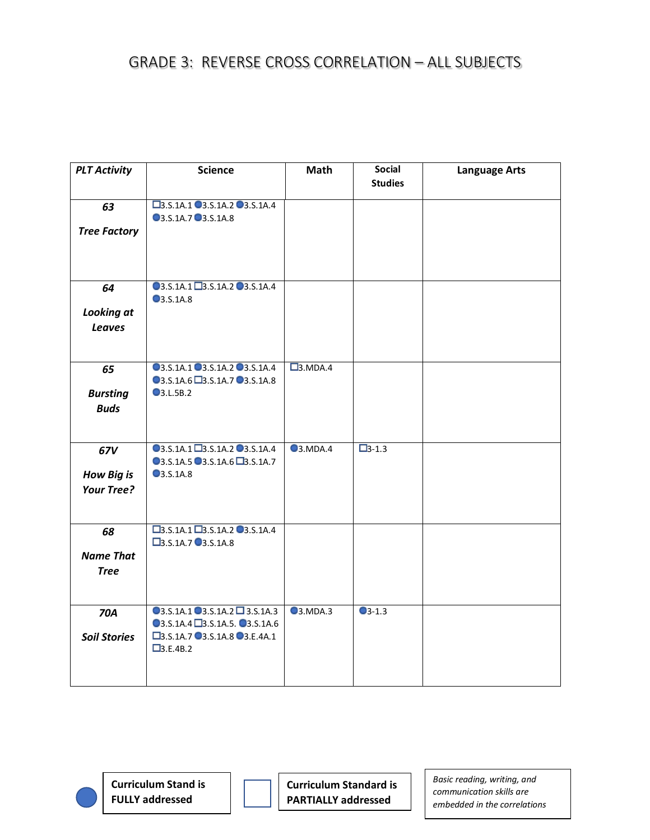| <b>PLT Activity</b>                           | <b>Science</b>                                                                                                              | <b>Math</b>         | <b>Social</b><br><b>Studies</b> | <b>Language Arts</b> |
|-----------------------------------------------|-----------------------------------------------------------------------------------------------------------------------------|---------------------|---------------------------------|----------------------|
| 63<br><b>Tree Factory</b>                     | □3.S.1A.1 ■3.S.1A.2 ■3.S.1A.4<br>3.S.1A.7 3.S.1A.8                                                                          |                     |                                 |                      |
| 64<br><b>Looking at</b><br><b>Leaves</b>      | 03.S.1A.1 3.S.1A.2 03.S.1A.4<br><b>3.S.1A.8</b>                                                                             |                     |                                 |                      |
| 65<br><b>Bursting</b><br><b>Buds</b>          | 03.S.1A.1 03.S.1A.2 03.S.1A.4<br>03.S.1A.6 3.S.1A.7 03.S.1A.8<br><b>3.L.5B.2</b>                                            | $\square$ 3. MDA. 4 |                                 |                      |
| 67V<br><b>How Big is</b><br><b>Your Tree?</b> | 03.S.1A.1 23.S.1A.2 03.S.1A.4<br>03.S.1A.5 03.S.1A.6 03.S.1A.7<br><b>3.S.1A.8</b>                                           | <b>3.MDA.4</b>      | $\Box$ 3-1.3                    |                      |
| 68<br><b>Name That</b><br><b>Tree</b>         | $\Box$ 3.S.1A.1 $\Box$ 3.S.1A.2 $\Box$ 3.S.1A.4<br>□3.S.1A.7 ■3.S.1A.8                                                      |                     |                                 |                      |
| <b>70A</b><br><b>Soil Stories</b>             | $Q$ 3.S.1A.1 $Q$ 3.S.1A.2 $Q$ 3.S.1A.3<br>03.S.1A.4 3.S.1A.5. 03.S.1A.6<br>□3.S.1A.7 ■3.S.1A.8 ■3.E.4A.1<br>$\Box$ 3.E.4B.2 | <b>3.MDA.3</b>      | $\bigcirc$ 3-1.3                |                      |

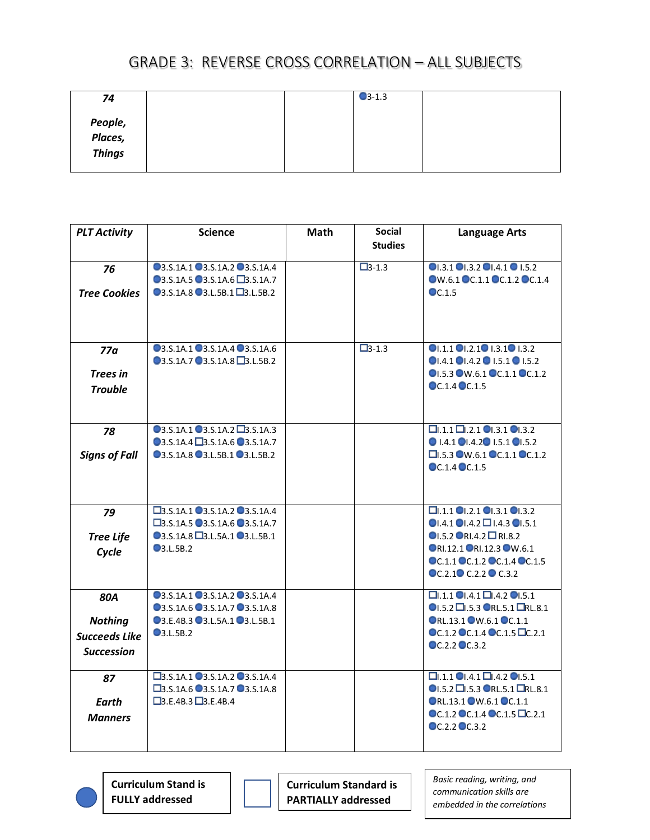| 74                           |  | $\bigcirc$ 3-1.3 |  |
|------------------------------|--|------------------|--|
| People,<br>Places,<br>Things |  |                  |  |

| <b>PLT Activity</b>  | <b>Science</b>                                          | <b>Math</b> | <b>Social</b>  | <b>Language Arts</b>                                            |
|----------------------|---------------------------------------------------------|-------------|----------------|-----------------------------------------------------------------|
|                      |                                                         |             | <b>Studies</b> |                                                                 |
| 76                   | 03.S.1A.1 03.S.1A.2 03.S.1A.4                           |             | $\Box 3 - 1.3$ | O1.3.1 O1.3.2 O1.4.1 O1.5.2                                     |
|                      | 03.S.1A.5 03.S.1A.6 23.S.1A.7                           |             |                | OW.6.1 OC.1.1 OC.1.2 OC.1.4                                     |
| <b>Tree Cookies</b>  | $\bigcirc$ 3.S.1A.8 $\bigcirc$ 3.L.5B.1 $\Box$ 3.L.5B.2 |             |                | $\bullet$ C.1.5                                                 |
|                      |                                                         |             |                |                                                                 |
| 77a                  | 03.S.1A.1 03.S.1A.4 03.S.1A.6                           |             | $\Box 3 - 1.3$ | $OL.1.1$ $OL.2.1$ $OL.3.1$ $OL.3.2$                             |
|                      | 03.S.1A.7 03.S.1A.8 03.L.5B.2                           |             |                | $OL4.1$ $OL4.2$ $OL5.1$ $OL5.2$                                 |
| Trees in             |                                                         |             |                | OI.5.3 OW.6.1 OC.1.1 OC.1.2                                     |
| <b>Trouble</b>       |                                                         |             |                | $\odot$ C.1.4 $\odot$ C.1.5                                     |
|                      |                                                         |             |                |                                                                 |
|                      |                                                         |             |                |                                                                 |
| 78                   | 03.S.1A.1 03.S.1A.2 D3.S.1A.3                           |             |                | $\square$ .1.1 $\square$ .2.1 $\square$ .3.1 $\square$ .3.2     |
|                      | 03.S.1A.4 3.S.1A.6 03.S.1A.7                            |             |                | $\bullet$ 1.4.1 $\bullet$ 1.4.2 $\bullet$ 1.5.1 $\bullet$ 1.5.2 |
| <b>Signs of Fall</b> | 03.S.1A.8 03.L.5B.1 03.L.5B.2                           |             |                | $\square$ .5.3 $\square$ W.6.1 $\square$ C.1.1 $\square$ C.1.2  |
|                      |                                                         |             |                | $CC.1.4$ $CC.1.5$                                               |
|                      |                                                         |             |                |                                                                 |
|                      |                                                         |             |                |                                                                 |
| 79                   | □3.S.1A.1 ■3.S.1A.2 ■3.S.1A.4                           |             |                | $\square$ .1.1 0.2.1 0.3.1 0.3.2                                |
|                      | □3.S.1A.5 ■3.S.1A.6 ■3.S.1A.7                           |             |                | $\bullet$ I.4.1 $\bullet$ I.4.2 $\Box$ I.4.3 $\bullet$ I.5.1    |
| <b>Tree Life</b>     | <b>●3.S.1A.8 ■3.L.5A.1 ●3.L.5B.1</b>                    |             |                | $\bigcirc$ 1.5.2 $\bigcirc$ RI.4.2 $\Box$ RI.8.2                |
| Cycle                | $\bullet$ 3.L.5B.2                                      |             |                | ORI.12.1 ORI.12.3 OW.6.1                                        |
|                      |                                                         |             |                | OC.1.1 OC.1.2 OC.1.4 OC.1.5                                     |
|                      |                                                         |             |                | OC.2.1 <sup>O</sup> C.2.2 <sup>O</sup> C.3.2                    |
| <b>80A</b>           | 03.S.1A.1 03.S.1A.2 03.S.1A.4                           |             |                | $\Box$ .1.1 $\Box$ .4.1 $\Box$ .4.2 $\Box$ .5.1                 |
|                      | 03.S.1A.6 03.S.1A.7 03.S.1A.8                           |             |                | $\bigcirc$ 1.5.2 $\Box$ 1.5.3 $\bigcirc$ RL.5.1 $\Box$ RL.8.1   |
| <b>Nothing</b>       | 03.E.4B.3 03.L.5A.1 03.L.5B.1                           |             |                | ORL.13.1 OW.6.1 OC.1.1                                          |
| <b>Succeeds Like</b> | $\bullet$ 3.L.5B.2                                      |             |                | $\odot$ C.1.2 $\odot$ C.1.4 $\odot$ C.1.5 $\Box$ C.2.1          |
| <b>Succession</b>    |                                                         |             |                | $CC.2.2$ $CC.3.2$                                               |
|                      |                                                         |             |                |                                                                 |
| 87                   | □3.S.1A.1 ■3.S.1A.2 ■3.S.1A.4                           |             |                | $\square$ .1.1 $\square$ .4.1 $\square$ .4.2 $\square$ .5.1     |
|                      | □3.S.1A.6 ■3.S.1A.7 ■3.S.1A.8                           |             |                | $O$ I.5.2 $\square$ I.5.3 $O$ RL.5.1 $\square$ RL.8.1           |
| Earth                | $\Box$ 3.E.4B.3 $\Box$ 3.E.4B.4                         |             |                | ORL.13.1 OW.6.1 OC.1.1                                          |
| <b>Manners</b>       |                                                         |             |                | OC.1.2 OC.1.4 OC.1.5 DC.2.1                                     |
|                      |                                                         |             |                | OC.2.2 OC.3.2                                                   |
|                      |                                                         |             |                |                                                                 |